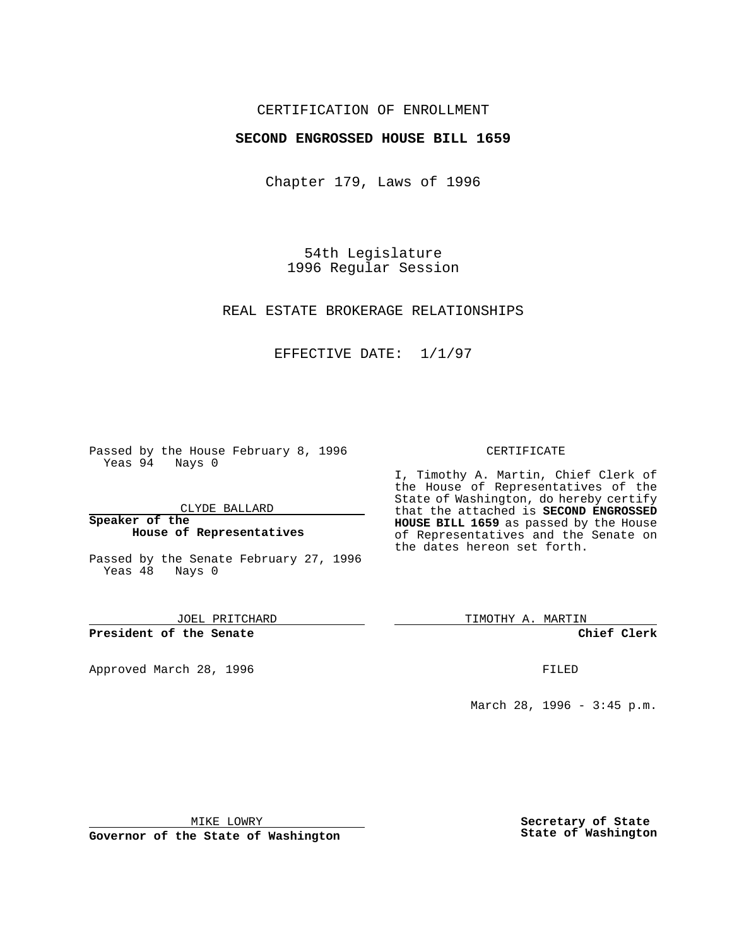## CERTIFICATION OF ENROLLMENT

### **SECOND ENGROSSED HOUSE BILL 1659**

Chapter 179, Laws of 1996

54th Legislature 1996 Regular Session

REAL ESTATE BROKERAGE RELATIONSHIPS

EFFECTIVE DATE: 1/1/97

Passed by the House February 8, 1996 Yeas 94 Nays 0

CLYDE BALLARD

**Speaker of the House of Representatives**

Passed by the Senate February 27, 1996 Yeas 48 Nays 0

JOEL PRITCHARD

**President of the Senate**

Approved March 28, 1996 FILED

#### CERTIFICATE

I, Timothy A. Martin, Chief Clerk of the House of Representatives of the State of Washington, do hereby certify that the attached is **SECOND ENGROSSED HOUSE BILL 1659** as passed by the House of Representatives and the Senate on the dates hereon set forth.

TIMOTHY A. MARTIN

**Chief Clerk**

March 28, 1996 - 3:45 p.m.

MIKE LOWRY

**Governor of the State of Washington**

**Secretary of State State of Washington**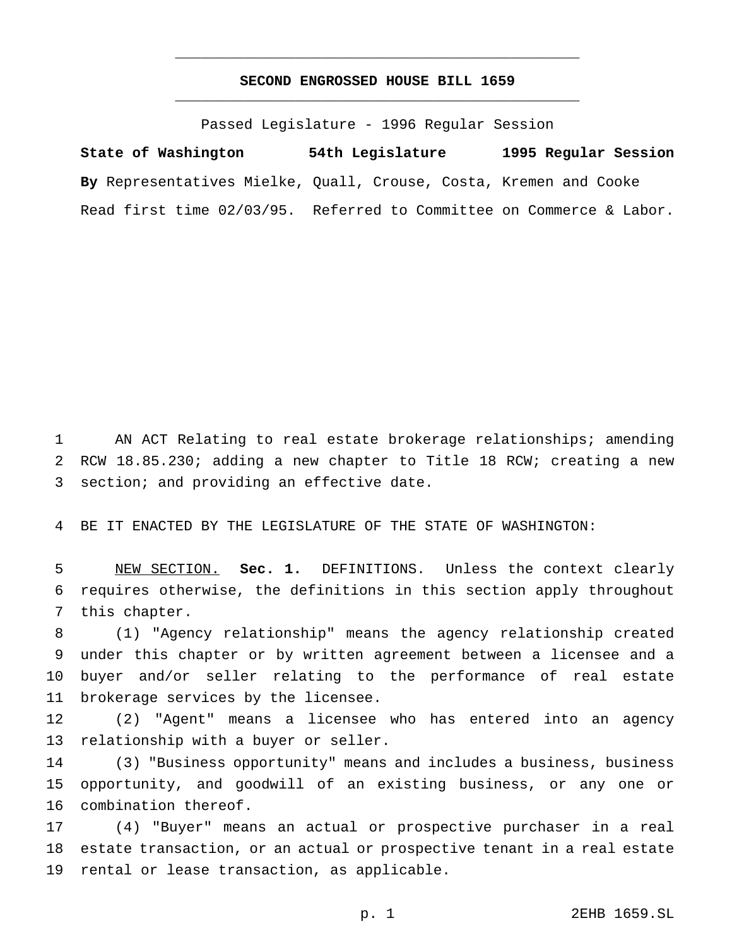# **SECOND ENGROSSED HOUSE BILL 1659** \_\_\_\_\_\_\_\_\_\_\_\_\_\_\_\_\_\_\_\_\_\_\_\_\_\_\_\_\_\_\_\_\_\_\_\_\_\_\_\_\_\_\_\_\_\_\_

\_\_\_\_\_\_\_\_\_\_\_\_\_\_\_\_\_\_\_\_\_\_\_\_\_\_\_\_\_\_\_\_\_\_\_\_\_\_\_\_\_\_\_\_\_\_\_

Passed Legislature - 1996 Regular Session

**State of Washington 54th Legislature 1995 Regular Session By** Representatives Mielke, Quall, Crouse, Costa, Kremen and Cooke Read first time 02/03/95. Referred to Committee on Commerce & Labor.

 AN ACT Relating to real estate brokerage relationships; amending RCW 18.85.230; adding a new chapter to Title 18 RCW; creating a new section; and providing an effective date.

BE IT ENACTED BY THE LEGISLATURE OF THE STATE OF WASHINGTON:

 NEW SECTION. **Sec. 1.** DEFINITIONS. Unless the context clearly requires otherwise, the definitions in this section apply throughout this chapter.

 (1) "Agency relationship" means the agency relationship created under this chapter or by written agreement between a licensee and a buyer and/or seller relating to the performance of real estate brokerage services by the licensee.

 (2) "Agent" means a licensee who has entered into an agency relationship with a buyer or seller.

 (3) "Business opportunity" means and includes a business, business opportunity, and goodwill of an existing business, or any one or combination thereof.

 (4) "Buyer" means an actual or prospective purchaser in a real estate transaction, or an actual or prospective tenant in a real estate rental or lease transaction, as applicable.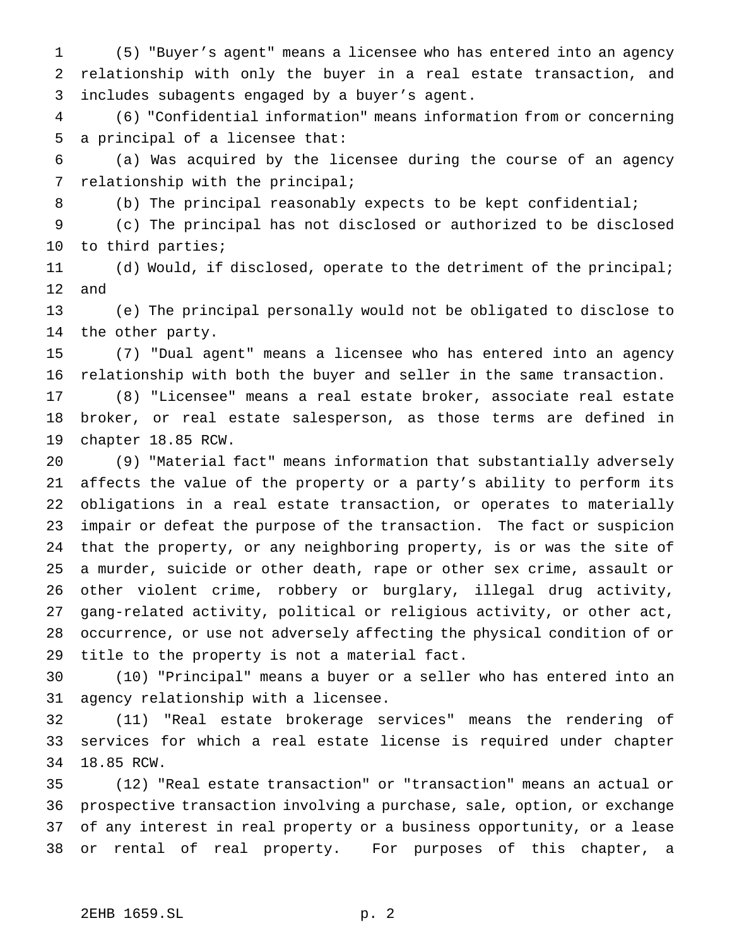(5) "Buyer's agent" means a licensee who has entered into an agency relationship with only the buyer in a real estate transaction, and includes subagents engaged by a buyer's agent.

 (6) "Confidential information" means information from or concerning a principal of a licensee that:

 (a) Was acquired by the licensee during the course of an agency relationship with the principal;

(b) The principal reasonably expects to be kept confidential;

 (c) The principal has not disclosed or authorized to be disclosed to third parties;

 (d) Would, if disclosed, operate to the detriment of the principal; and

 (e) The principal personally would not be obligated to disclose to the other party.

 (7) "Dual agent" means a licensee who has entered into an agency relationship with both the buyer and seller in the same transaction.

 (8) "Licensee" means a real estate broker, associate real estate broker, or real estate salesperson, as those terms are defined in chapter 18.85 RCW.

 (9) "Material fact" means information that substantially adversely affects the value of the property or a party's ability to perform its obligations in a real estate transaction, or operates to materially impair or defeat the purpose of the transaction. The fact or suspicion that the property, or any neighboring property, is or was the site of a murder, suicide or other death, rape or other sex crime, assault or other violent crime, robbery or burglary, illegal drug activity, gang-related activity, political or religious activity, or other act, occurrence, or use not adversely affecting the physical condition of or title to the property is not a material fact.

 (10) "Principal" means a buyer or a seller who has entered into an agency relationship with a licensee.

 (11) "Real estate brokerage services" means the rendering of services for which a real estate license is required under chapter 18.85 RCW.

 (12) "Real estate transaction" or "transaction" means an actual or prospective transaction involving a purchase, sale, option, or exchange of any interest in real property or a business opportunity, or a lease or rental of real property. For purposes of this chapter, a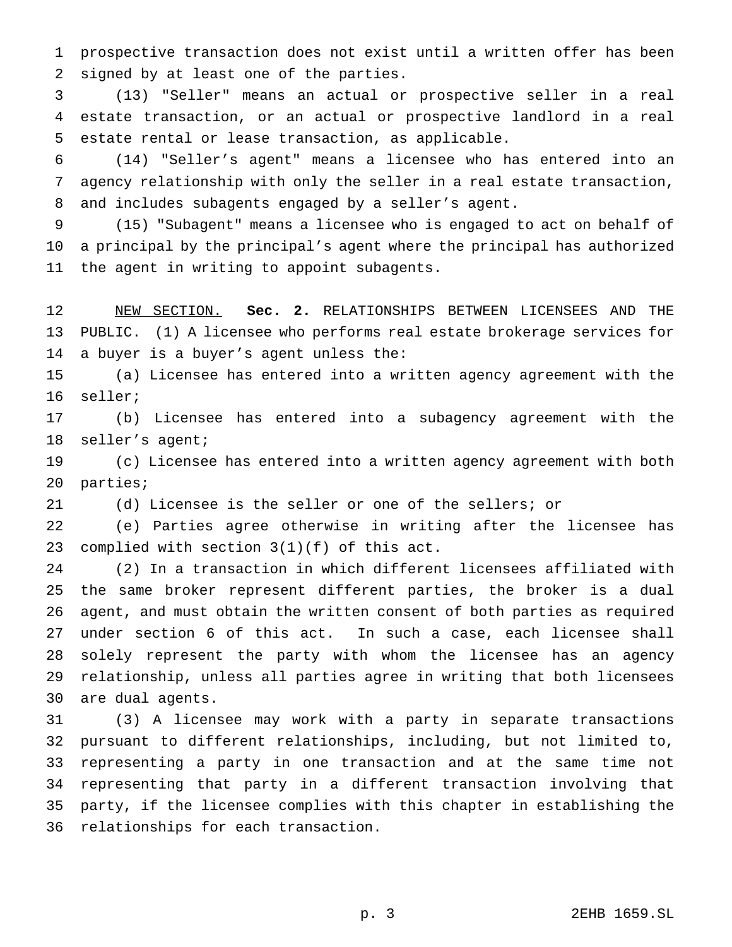prospective transaction does not exist until a written offer has been signed by at least one of the parties.

 (13) "Seller" means an actual or prospective seller in a real estate transaction, or an actual or prospective landlord in a real estate rental or lease transaction, as applicable.

 (14) "Seller's agent" means a licensee who has entered into an agency relationship with only the seller in a real estate transaction, and includes subagents engaged by a seller's agent.

 (15) "Subagent" means a licensee who is engaged to act on behalf of a principal by the principal's agent where the principal has authorized the agent in writing to appoint subagents.

 NEW SECTION. **Sec. 2.** RELATIONSHIPS BETWEEN LICENSEES AND THE PUBLIC. (1) A licensee who performs real estate brokerage services for a buyer is a buyer's agent unless the:

 (a) Licensee has entered into a written agency agreement with the seller;

 (b) Licensee has entered into a subagency agreement with the seller's agent;

 (c) Licensee has entered into a written agency agreement with both parties;

(d) Licensee is the seller or one of the sellers; or

 (e) Parties agree otherwise in writing after the licensee has complied with section 3(1)(f) of this act.

 (2) In a transaction in which different licensees affiliated with the same broker represent different parties, the broker is a dual agent, and must obtain the written consent of both parties as required under section 6 of this act. In such a case, each licensee shall solely represent the party with whom the licensee has an agency relationship, unless all parties agree in writing that both licensees are dual agents.

 (3) A licensee may work with a party in separate transactions pursuant to different relationships, including, but not limited to, representing a party in one transaction and at the same time not representing that party in a different transaction involving that party, if the licensee complies with this chapter in establishing the relationships for each transaction.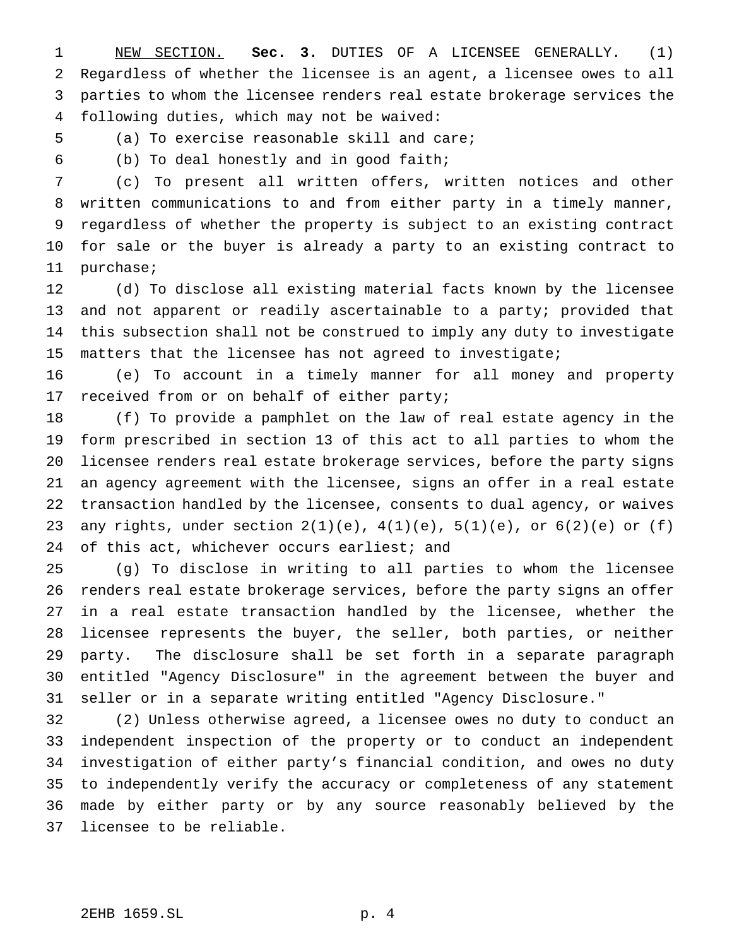NEW SECTION. **Sec. 3.** DUTIES OF A LICENSEE GENERALLY. (1) Regardless of whether the licensee is an agent, a licensee owes to all parties to whom the licensee renders real estate brokerage services the following duties, which may not be waived:

(a) To exercise reasonable skill and care;

(b) To deal honestly and in good faith;

 (c) To present all written offers, written notices and other written communications to and from either party in a timely manner, regardless of whether the property is subject to an existing contract for sale or the buyer is already a party to an existing contract to purchase;

 (d) To disclose all existing material facts known by the licensee and not apparent or readily ascertainable to a party; provided that this subsection shall not be construed to imply any duty to investigate matters that the licensee has not agreed to investigate;

 (e) To account in a timely manner for all money and property received from or on behalf of either party;

 (f) To provide a pamphlet on the law of real estate agency in the form prescribed in section 13 of this act to all parties to whom the licensee renders real estate brokerage services, before the party signs an agency agreement with the licensee, signs an offer in a real estate transaction handled by the licensee, consents to dual agency, or waives any rights, under section 2(1)(e), 4(1)(e), 5(1)(e), or 6(2)(e) or (f) 24 of this act, whichever occurs earliest; and

 (g) To disclose in writing to all parties to whom the licensee renders real estate brokerage services, before the party signs an offer in a real estate transaction handled by the licensee, whether the licensee represents the buyer, the seller, both parties, or neither party. The disclosure shall be set forth in a separate paragraph entitled "Agency Disclosure" in the agreement between the buyer and seller or in a separate writing entitled "Agency Disclosure."

 (2) Unless otherwise agreed, a licensee owes no duty to conduct an independent inspection of the property or to conduct an independent investigation of either party's financial condition, and owes no duty to independently verify the accuracy or completeness of any statement made by either party or by any source reasonably believed by the licensee to be reliable.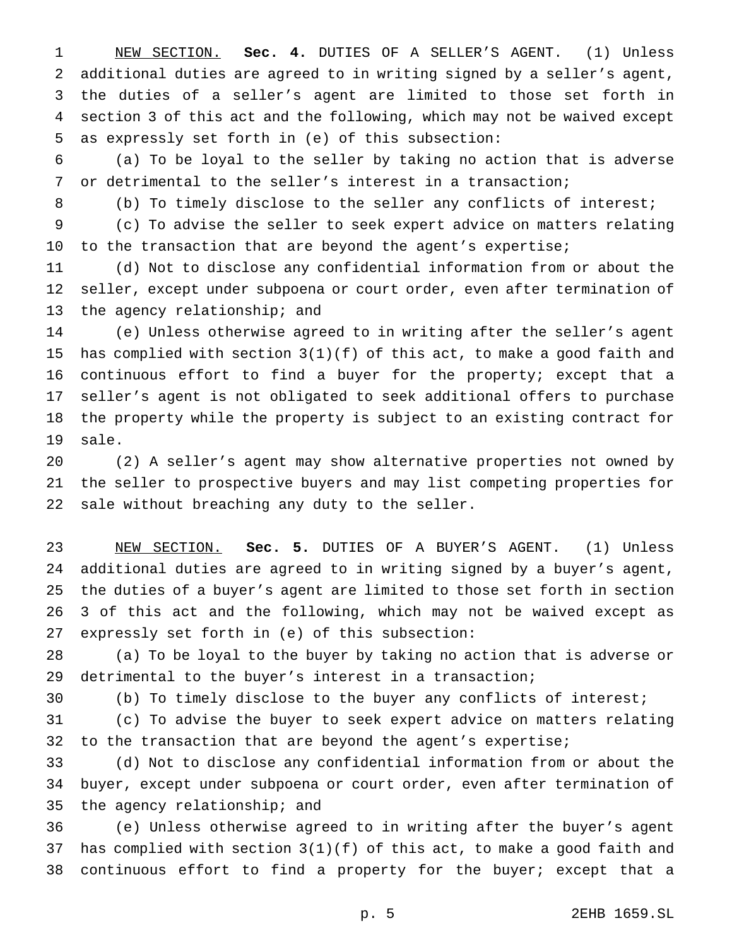NEW SECTION. **Sec. 4.** DUTIES OF A SELLER'S AGENT. (1) Unless additional duties are agreed to in writing signed by a seller's agent, the duties of a seller's agent are limited to those set forth in section 3 of this act and the following, which may not be waived except as expressly set forth in (e) of this subsection:

 (a) To be loyal to the seller by taking no action that is adverse or detrimental to the seller's interest in a transaction;

(b) To timely disclose to the seller any conflicts of interest;

 (c) To advise the seller to seek expert advice on matters relating 10 to the transaction that are beyond the agent's expertise;

 (d) Not to disclose any confidential information from or about the seller, except under subpoena or court order, even after termination of the agency relationship; and

 (e) Unless otherwise agreed to in writing after the seller's agent has complied with section 3(1)(f) of this act, to make a good faith and continuous effort to find a buyer for the property; except that a seller's agent is not obligated to seek additional offers to purchase the property while the property is subject to an existing contract for sale.

 (2) A seller's agent may show alternative properties not owned by the seller to prospective buyers and may list competing properties for sale without breaching any duty to the seller.

 NEW SECTION. **Sec. 5.** DUTIES OF A BUYER'S AGENT. (1) Unless additional duties are agreed to in writing signed by a buyer's agent, the duties of a buyer's agent are limited to those set forth in section 3 of this act and the following, which may not be waived except as expressly set forth in (e) of this subsection:

 (a) To be loyal to the buyer by taking no action that is adverse or detrimental to the buyer's interest in a transaction;

(b) To timely disclose to the buyer any conflicts of interest;

 (c) To advise the buyer to seek expert advice on matters relating to the transaction that are beyond the agent's expertise;

 (d) Not to disclose any confidential information from or about the buyer, except under subpoena or court order, even after termination of the agency relationship; and

 (e) Unless otherwise agreed to in writing after the buyer's agent has complied with section 3(1)(f) of this act, to make a good faith and continuous effort to find a property for the buyer; except that a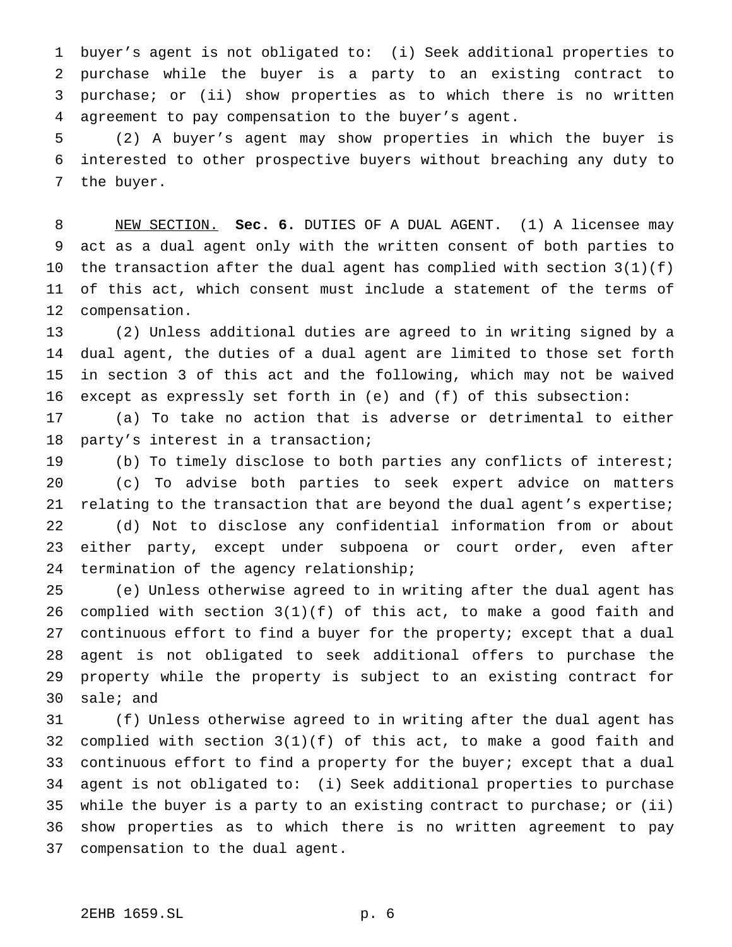buyer's agent is not obligated to: (i) Seek additional properties to purchase while the buyer is a party to an existing contract to purchase; or (ii) show properties as to which there is no written agreement to pay compensation to the buyer's agent.

 (2) A buyer's agent may show properties in which the buyer is interested to other prospective buyers without breaching any duty to the buyer.

 NEW SECTION. **Sec. 6.** DUTIES OF A DUAL AGENT. (1) A licensee may act as a dual agent only with the written consent of both parties to the transaction after the dual agent has complied with section 3(1)(f) of this act, which consent must include a statement of the terms of compensation.

 (2) Unless additional duties are agreed to in writing signed by a dual agent, the duties of a dual agent are limited to those set forth in section 3 of this act and the following, which may not be waived except as expressly set forth in (e) and (f) of this subsection:

 (a) To take no action that is adverse or detrimental to either party's interest in a transaction;

 (b) To timely disclose to both parties any conflicts of interest; (c) To advise both parties to seek expert advice on matters relating to the transaction that are beyond the dual agent's expertise; (d) Not to disclose any confidential information from or about either party, except under subpoena or court order, even after termination of the agency relationship;

 (e) Unless otherwise agreed to in writing after the dual agent has 26 complied with section  $3(1)(f)$  of this act, to make a good faith and continuous effort to find a buyer for the property; except that a dual agent is not obligated to seek additional offers to purchase the property while the property is subject to an existing contract for sale; and

 (f) Unless otherwise agreed to in writing after the dual agent has complied with section 3(1)(f) of this act, to make a good faith and continuous effort to find a property for the buyer; except that a dual agent is not obligated to: (i) Seek additional properties to purchase while the buyer is a party to an existing contract to purchase; or (ii) show properties as to which there is no written agreement to pay compensation to the dual agent.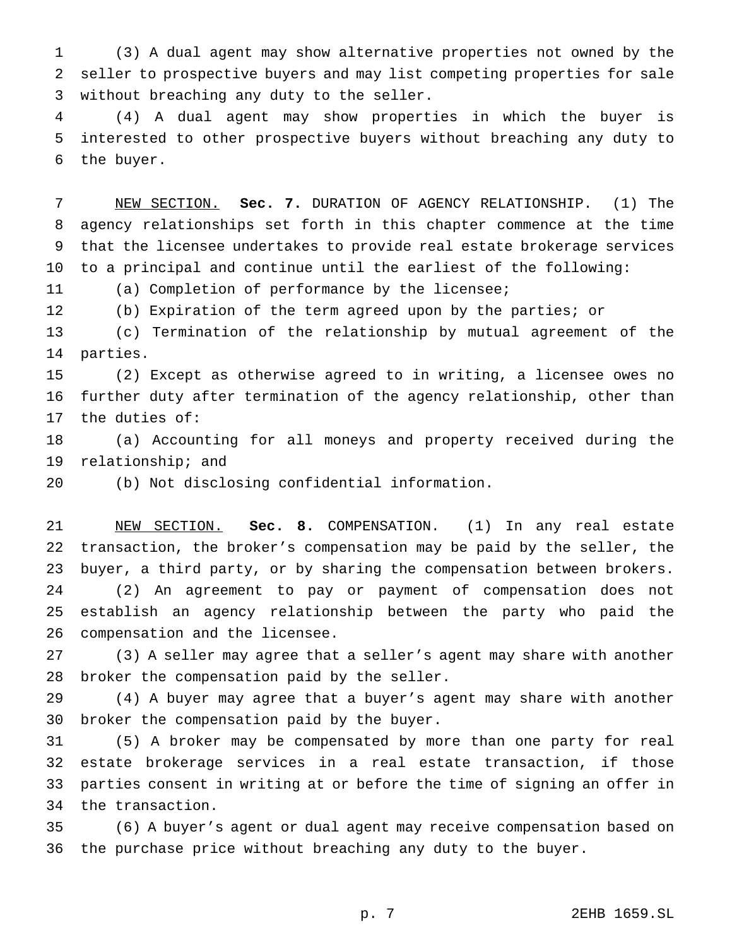(3) A dual agent may show alternative properties not owned by the seller to prospective buyers and may list competing properties for sale without breaching any duty to the seller.

 (4) A dual agent may show properties in which the buyer is interested to other prospective buyers without breaching any duty to the buyer.

 NEW SECTION. **Sec. 7.** DURATION OF AGENCY RELATIONSHIP. (1) The agency relationships set forth in this chapter commence at the time that the licensee undertakes to provide real estate brokerage services to a principal and continue until the earliest of the following:

(a) Completion of performance by the licensee;

(b) Expiration of the term agreed upon by the parties; or

 (c) Termination of the relationship by mutual agreement of the parties.

 (2) Except as otherwise agreed to in writing, a licensee owes no further duty after termination of the agency relationship, other than the duties of:

 (a) Accounting for all moneys and property received during the relationship; and

(b) Not disclosing confidential information.

 NEW SECTION. **Sec. 8.** COMPENSATION. (1) In any real estate transaction, the broker's compensation may be paid by the seller, the buyer, a third party, or by sharing the compensation between brokers. (2) An agreement to pay or payment of compensation does not establish an agency relationship between the party who paid the compensation and the licensee.

 (3) A seller may agree that a seller's agent may share with another broker the compensation paid by the seller.

 (4) A buyer may agree that a buyer's agent may share with another broker the compensation paid by the buyer.

 (5) A broker may be compensated by more than one party for real estate brokerage services in a real estate transaction, if those parties consent in writing at or before the time of signing an offer in the transaction.

 (6) A buyer's agent or dual agent may receive compensation based on the purchase price without breaching any duty to the buyer.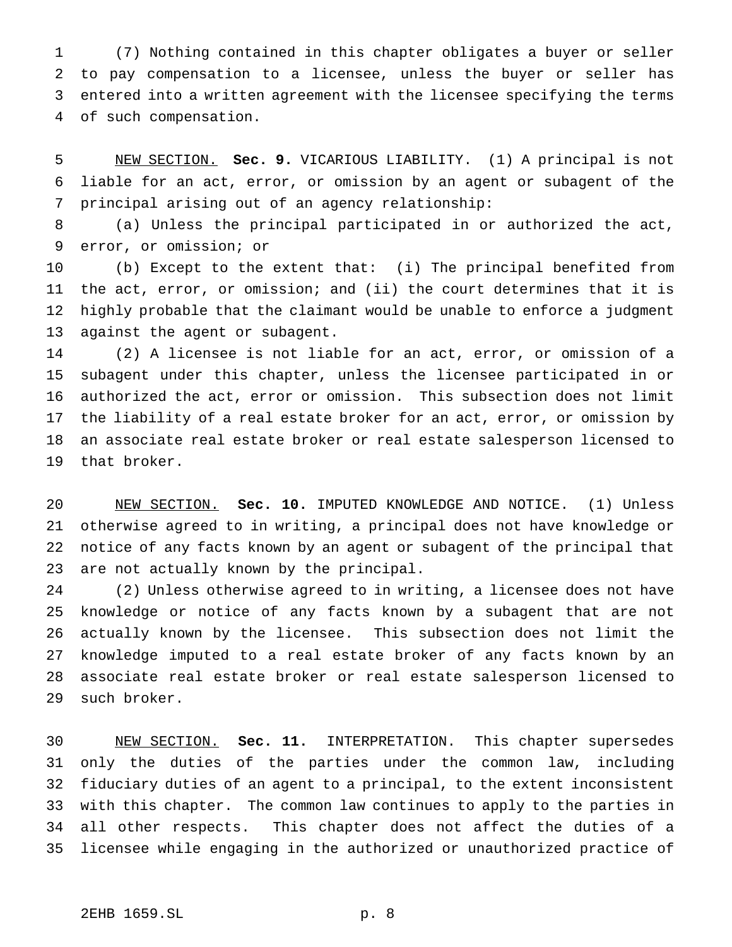(7) Nothing contained in this chapter obligates a buyer or seller to pay compensation to a licensee, unless the buyer or seller has entered into a written agreement with the licensee specifying the terms of such compensation.

 NEW SECTION. **Sec. 9.** VICARIOUS LIABILITY. (1) A principal is not liable for an act, error, or omission by an agent or subagent of the principal arising out of an agency relationship:

 (a) Unless the principal participated in or authorized the act, error, or omission; or

 (b) Except to the extent that: (i) The principal benefited from the act, error, or omission; and (ii) the court determines that it is highly probable that the claimant would be unable to enforce a judgment against the agent or subagent.

 (2) A licensee is not liable for an act, error, or omission of a subagent under this chapter, unless the licensee participated in or authorized the act, error or omission. This subsection does not limit the liability of a real estate broker for an act, error, or omission by an associate real estate broker or real estate salesperson licensed to that broker.

 NEW SECTION. **Sec. 10.** IMPUTED KNOWLEDGE AND NOTICE. (1) Unless otherwise agreed to in writing, a principal does not have knowledge or notice of any facts known by an agent or subagent of the principal that are not actually known by the principal.

 (2) Unless otherwise agreed to in writing, a licensee does not have knowledge or notice of any facts known by a subagent that are not actually known by the licensee. This subsection does not limit the knowledge imputed to a real estate broker of any facts known by an associate real estate broker or real estate salesperson licensed to such broker.

 NEW SECTION. **Sec. 11.** INTERPRETATION. This chapter supersedes only the duties of the parties under the common law, including fiduciary duties of an agent to a principal, to the extent inconsistent with this chapter. The common law continues to apply to the parties in all other respects. This chapter does not affect the duties of a licensee while engaging in the authorized or unauthorized practice of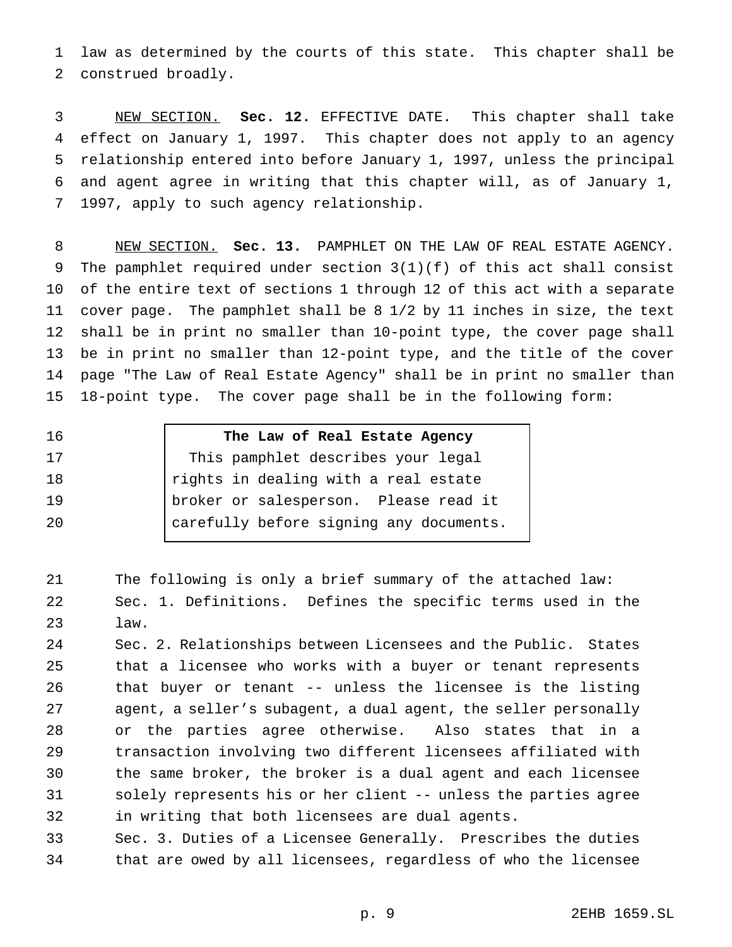law as determined by the courts of this state. This chapter shall be construed broadly.

 NEW SECTION. **Sec. 12.** EFFECTIVE DATE. This chapter shall take effect on January 1, 1997. This chapter does not apply to an agency relationship entered into before January 1, 1997, unless the principal and agent agree in writing that this chapter will, as of January 1, 1997, apply to such agency relationship.

 NEW SECTION. **Sec. 13.** PAMPHLET ON THE LAW OF REAL ESTATE AGENCY. The pamphlet required under section 3(1)(f) of this act shall consist of the entire text of sections 1 through 12 of this act with a separate cover page. The pamphlet shall be 8 1/2 by 11 inches in size, the text shall be in print no smaller than 10-point type, the cover page shall be in print no smaller than 12-point type, and the title of the cover page "The Law of Real Estate Agency" shall be in print no smaller than 18-point type. The cover page shall be in the following form:

- 
- 

# **The Law of Real Estate Agency**

| 17 | This pamphlet describes your legal      |
|----|-----------------------------------------|
| 18 | rights in dealing with a real estate    |
| 19 | broker or salesperson. Please read it   |
| 20 | carefully before signing any documents. |

 The following is only a brief summary of the attached law: Sec. 1. Definitions. Defines the specific terms used in the law.

 Sec. 2. Relationships between Licensees and the Public. States that a licensee who works with a buyer or tenant represents that buyer or tenant -- unless the licensee is the listing agent, a seller's subagent, a dual agent, the seller personally or the parties agree otherwise. Also states that in a transaction involving two different licensees affiliated with the same broker, the broker is a dual agent and each licensee solely represents his or her client -- unless the parties agree in writing that both licensees are dual agents.

 Sec. 3. Duties of a Licensee Generally. Prescribes the duties that are owed by all licensees, regardless of who the licensee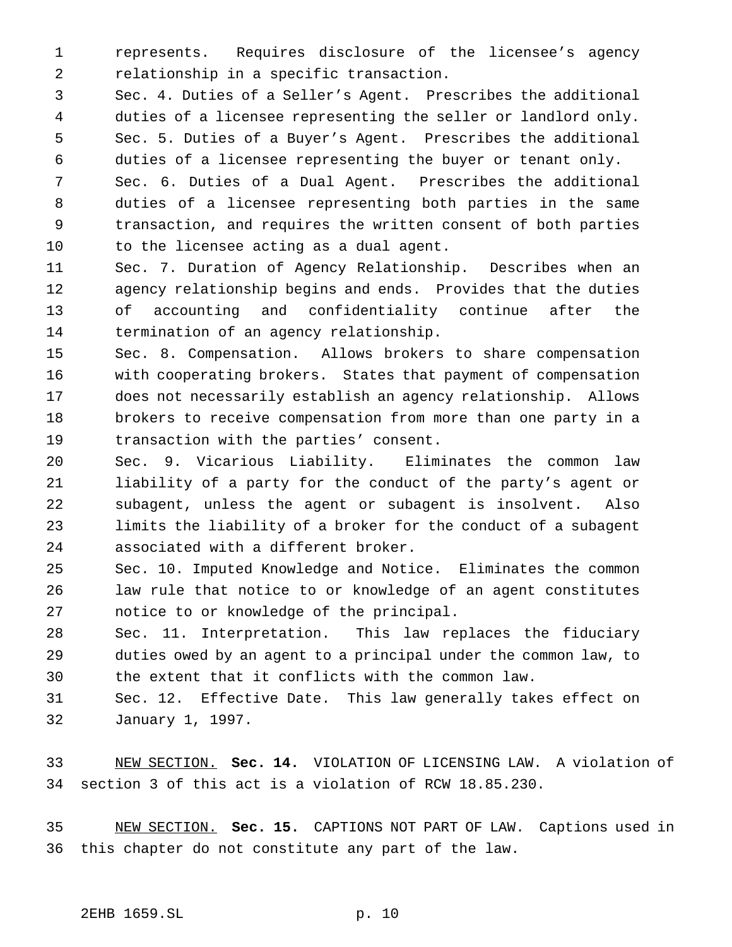represents. Requires disclosure of the licensee's agency relationship in a specific transaction.

 Sec. 4. Duties of a Seller's Agent. Prescribes the additional duties of a licensee representing the seller or landlord only. Sec. 5. Duties of a Buyer's Agent. Prescribes the additional duties of a licensee representing the buyer or tenant only.

 Sec. 6. Duties of a Dual Agent. Prescribes the additional duties of a licensee representing both parties in the same transaction, and requires the written consent of both parties to the licensee acting as a dual agent.

 Sec. 7. Duration of Agency Relationship. Describes when an agency relationship begins and ends. Provides that the duties of accounting and confidentiality continue after the termination of an agency relationship.

 Sec. 8. Compensation. Allows brokers to share compensation with cooperating brokers. States that payment of compensation does not necessarily establish an agency relationship. Allows brokers to receive compensation from more than one party in a transaction with the parties' consent.

 Sec. 9. Vicarious Liability. Eliminates the common law liability of a party for the conduct of the party's agent or subagent, unless the agent or subagent is insolvent. Also limits the liability of a broker for the conduct of a subagent associated with a different broker.

 Sec. 10. Imputed Knowledge and Notice. Eliminates the common law rule that notice to or knowledge of an agent constitutes notice to or knowledge of the principal.

 Sec. 11. Interpretation. This law replaces the fiduciary duties owed by an agent to a principal under the common law, to the extent that it conflicts with the common law.

 Sec. 12. Effective Date. This law generally takes effect on January 1, 1997.

 NEW SECTION. **Sec. 14.** VIOLATION OF LICENSING LAW. A violation of section 3 of this act is a violation of RCW 18.85.230.

 NEW SECTION. **Sec. 15.** CAPTIONS NOT PART OF LAW. Captions used in this chapter do not constitute any part of the law.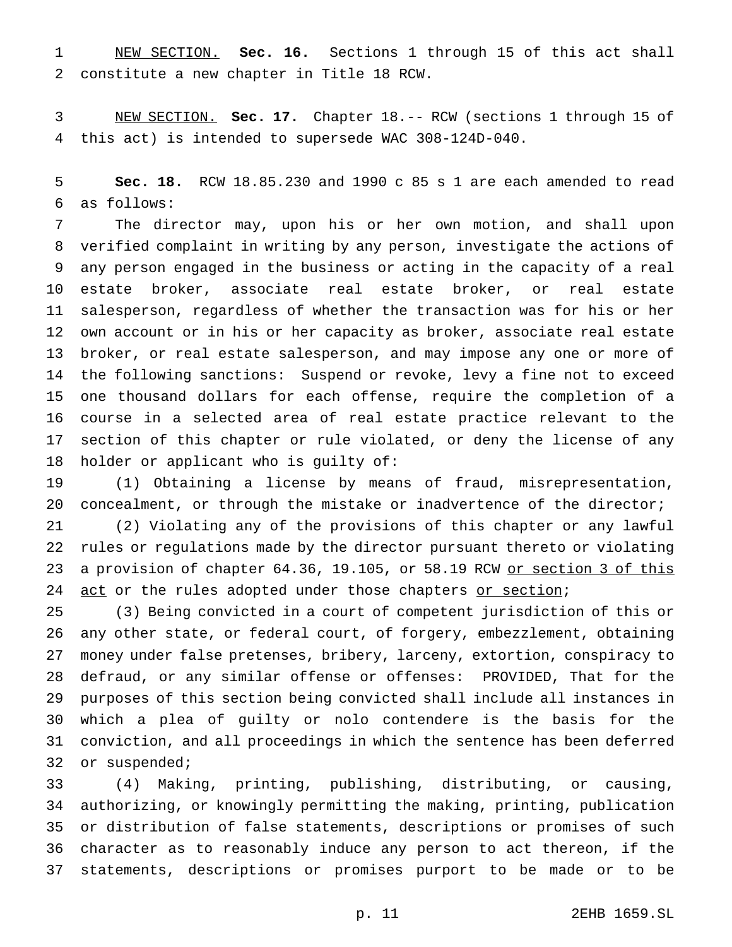NEW SECTION. **Sec. 16.** Sections 1 through 15 of this act shall constitute a new chapter in Title 18 RCW.

 NEW SECTION. **Sec. 17.** Chapter 18.-- RCW (sections 1 through 15 of this act) is intended to supersede WAC 308-124D-040.

 **Sec. 18.** RCW 18.85.230 and 1990 c 85 s 1 are each amended to read as follows:

 The director may, upon his or her own motion, and shall upon verified complaint in writing by any person, investigate the actions of any person engaged in the business or acting in the capacity of a real estate broker, associate real estate broker, or real estate salesperson, regardless of whether the transaction was for his or her own account or in his or her capacity as broker, associate real estate broker, or real estate salesperson, and may impose any one or more of the following sanctions: Suspend or revoke, levy a fine not to exceed one thousand dollars for each offense, require the completion of a course in a selected area of real estate practice relevant to the section of this chapter or rule violated, or deny the license of any holder or applicant who is guilty of:

 (1) Obtaining a license by means of fraud, misrepresentation, concealment, or through the mistake or inadvertence of the director;

 (2) Violating any of the provisions of this chapter or any lawful rules or regulations made by the director pursuant thereto or violating 23 a provision of chapter 64.36, 19.105, or 58.19 RCW or section 3 of this 24 act or the rules adopted under those chapters or section;

 (3) Being convicted in a court of competent jurisdiction of this or any other state, or federal court, of forgery, embezzlement, obtaining money under false pretenses, bribery, larceny, extortion, conspiracy to defraud, or any similar offense or offenses: PROVIDED, That for the purposes of this section being convicted shall include all instances in which a plea of guilty or nolo contendere is the basis for the conviction, and all proceedings in which the sentence has been deferred or suspended;

 (4) Making, printing, publishing, distributing, or causing, authorizing, or knowingly permitting the making, printing, publication or distribution of false statements, descriptions or promises of such character as to reasonably induce any person to act thereon, if the statements, descriptions or promises purport to be made or to be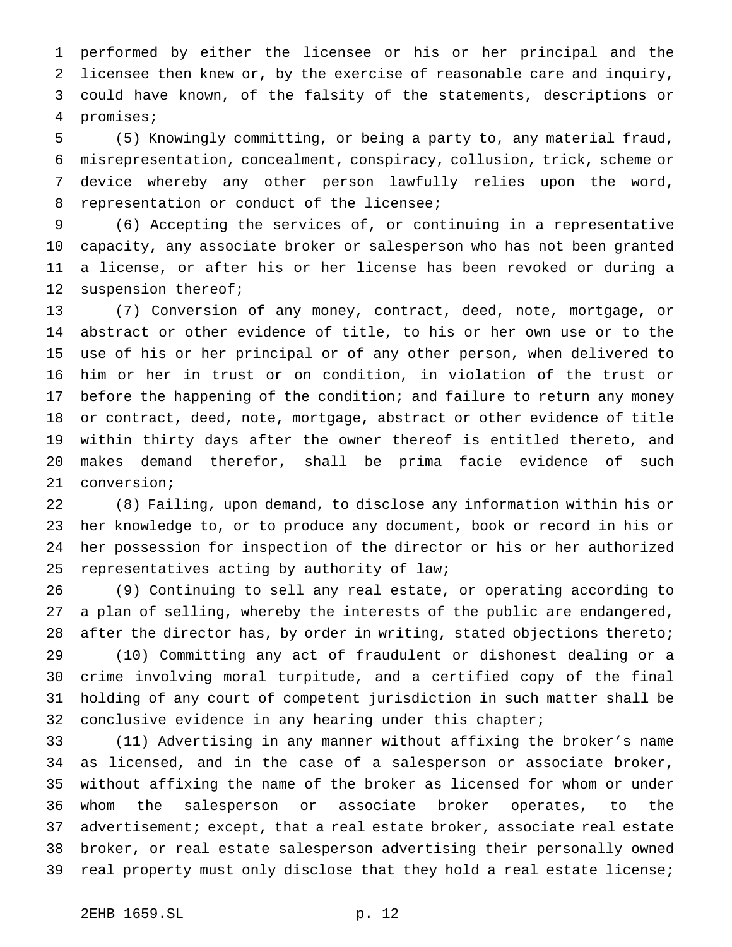performed by either the licensee or his or her principal and the licensee then knew or, by the exercise of reasonable care and inquiry, could have known, of the falsity of the statements, descriptions or promises;

 (5) Knowingly committing, or being a party to, any material fraud, misrepresentation, concealment, conspiracy, collusion, trick, scheme or device whereby any other person lawfully relies upon the word, representation or conduct of the licensee;

 (6) Accepting the services of, or continuing in a representative capacity, any associate broker or salesperson who has not been granted a license, or after his or her license has been revoked or during a 12 suspension thereof;

 (7) Conversion of any money, contract, deed, note, mortgage, or abstract or other evidence of title, to his or her own use or to the use of his or her principal or of any other person, when delivered to him or her in trust or on condition, in violation of the trust or 17 before the happening of the condition; and failure to return any money or contract, deed, note, mortgage, abstract or other evidence of title within thirty days after the owner thereof is entitled thereto, and makes demand therefor, shall be prima facie evidence of such conversion;

 (8) Failing, upon demand, to disclose any information within his or her knowledge to, or to produce any document, book or record in his or her possession for inspection of the director or his or her authorized representatives acting by authority of law;

 (9) Continuing to sell any real estate, or operating according to a plan of selling, whereby the interests of the public are endangered, 28 after the director has, by order in writing, stated objections thereto;

 (10) Committing any act of fraudulent or dishonest dealing or a crime involving moral turpitude, and a certified copy of the final holding of any court of competent jurisdiction in such matter shall be 32 conclusive evidence in any hearing under this chapter;

 (11) Advertising in any manner without affixing the broker's name as licensed, and in the case of a salesperson or associate broker, without affixing the name of the broker as licensed for whom or under whom the salesperson or associate broker operates, to the advertisement; except, that a real estate broker, associate real estate broker, or real estate salesperson advertising their personally owned real property must only disclose that they hold a real estate license;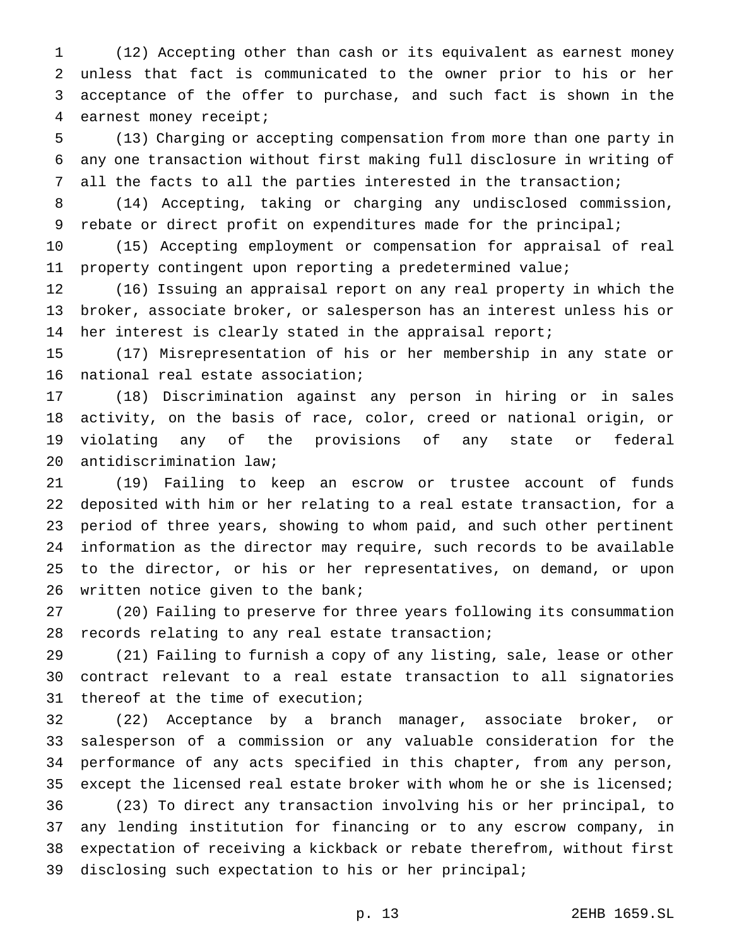(12) Accepting other than cash or its equivalent as earnest money unless that fact is communicated to the owner prior to his or her acceptance of the offer to purchase, and such fact is shown in the earnest money receipt;

 (13) Charging or accepting compensation from more than one party in any one transaction without first making full disclosure in writing of all the facts to all the parties interested in the transaction;

 (14) Accepting, taking or charging any undisclosed commission, 9 rebate or direct profit on expenditures made for the principal;

 (15) Accepting employment or compensation for appraisal of real property contingent upon reporting a predetermined value;

 (16) Issuing an appraisal report on any real property in which the broker, associate broker, or salesperson has an interest unless his or her interest is clearly stated in the appraisal report;

 (17) Misrepresentation of his or her membership in any state or national real estate association;

 (18) Discrimination against any person in hiring or in sales activity, on the basis of race, color, creed or national origin, or violating any of the provisions of any state or federal antidiscrimination law;

 (19) Failing to keep an escrow or trustee account of funds deposited with him or her relating to a real estate transaction, for a period of three years, showing to whom paid, and such other pertinent information as the director may require, such records to be available to the director, or his or her representatives, on demand, or upon written notice given to the bank;

 (20) Failing to preserve for three years following its consummation records relating to any real estate transaction;

 (21) Failing to furnish a copy of any listing, sale, lease or other contract relevant to a real estate transaction to all signatories thereof at the time of execution;

 (22) Acceptance by a branch manager, associate broker, or salesperson of a commission or any valuable consideration for the performance of any acts specified in this chapter, from any person, except the licensed real estate broker with whom he or she is licensed; (23) To direct any transaction involving his or her principal, to any lending institution for financing or to any escrow company, in expectation of receiving a kickback or rebate therefrom, without first disclosing such expectation to his or her principal;